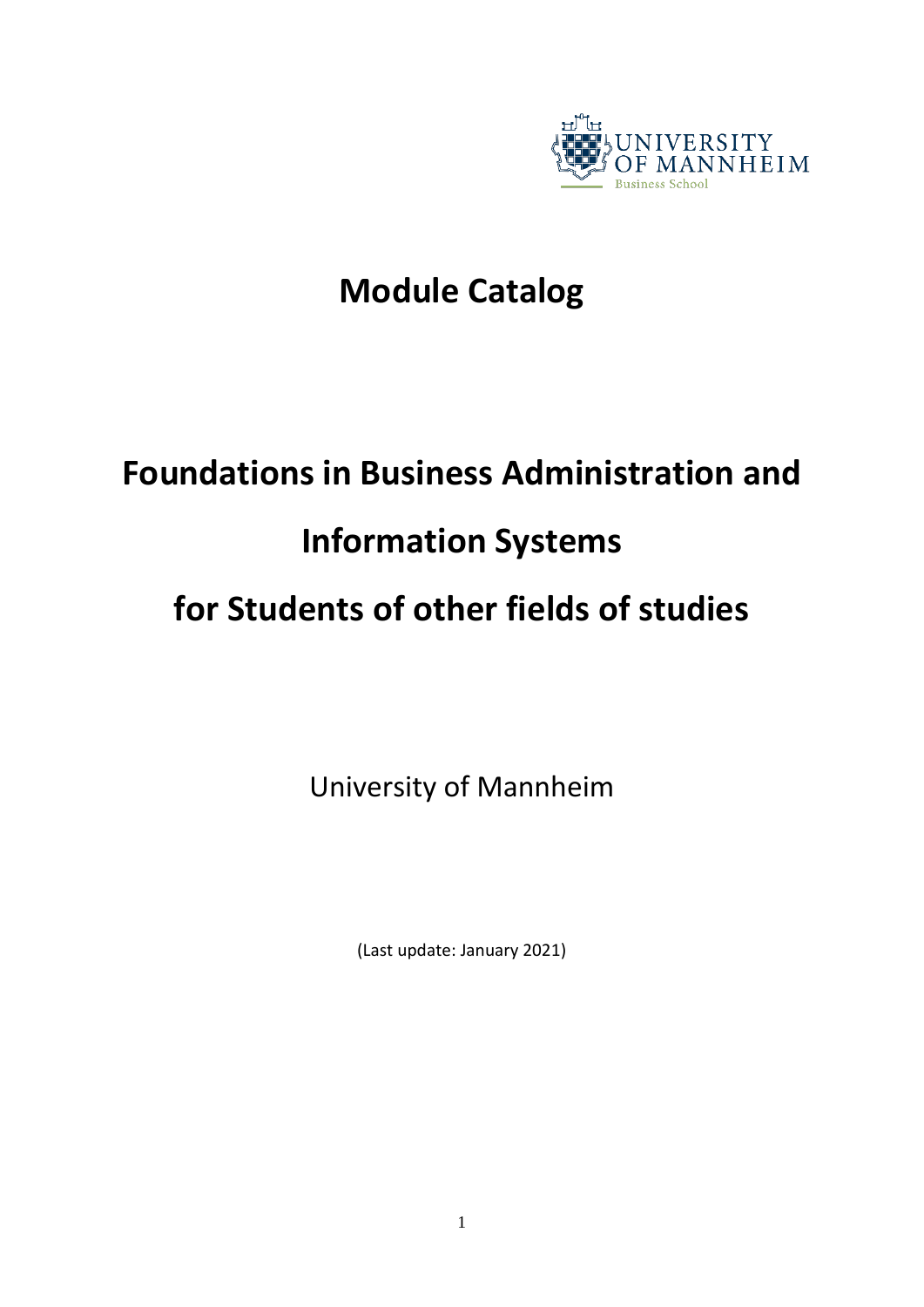

# **Module Catalog**

# **Foundations in Business Administration and**

# **Information Systems**

# **for Students of other fields of studies**

University of Mannheim

(Last update: January 2021)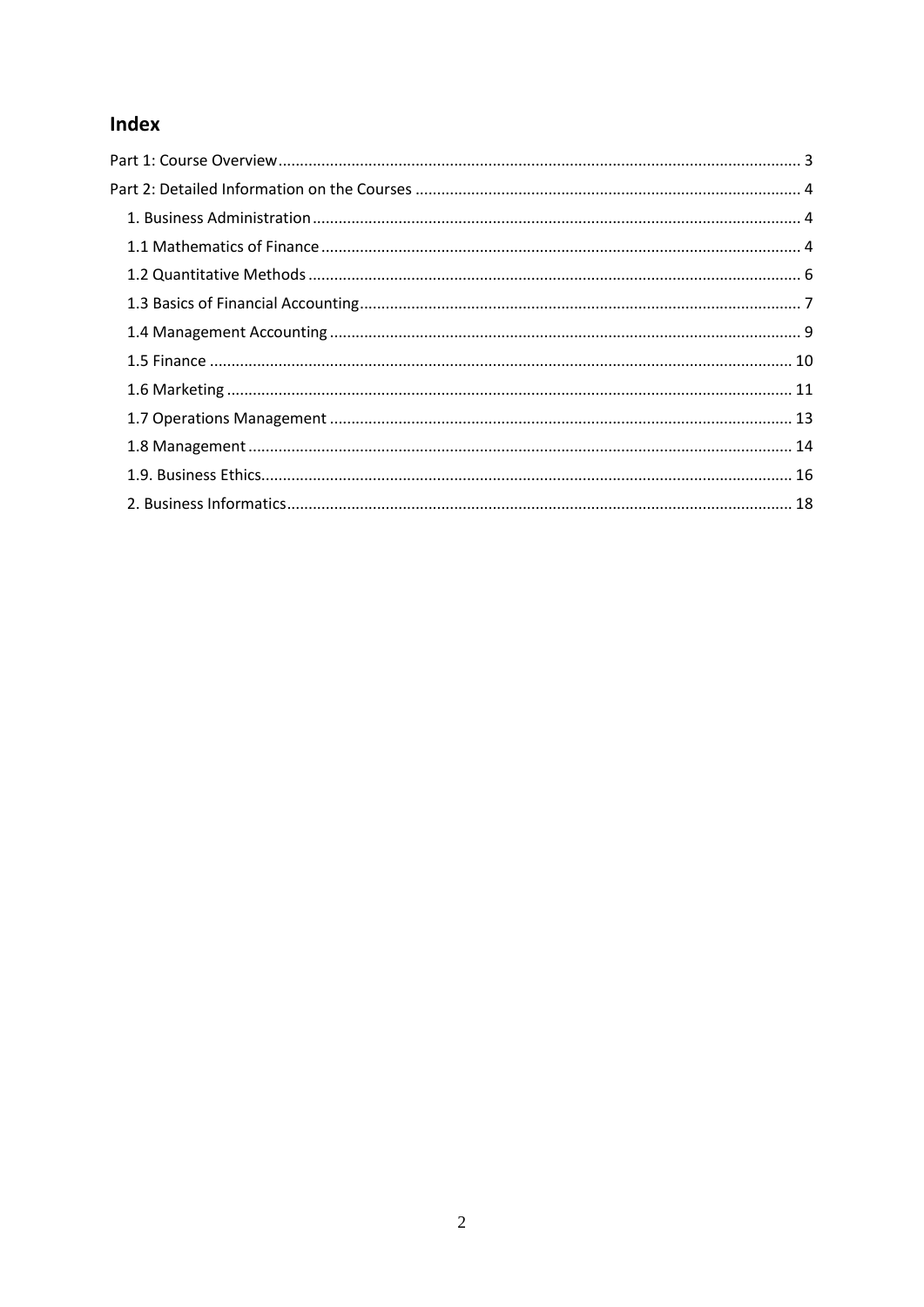# Index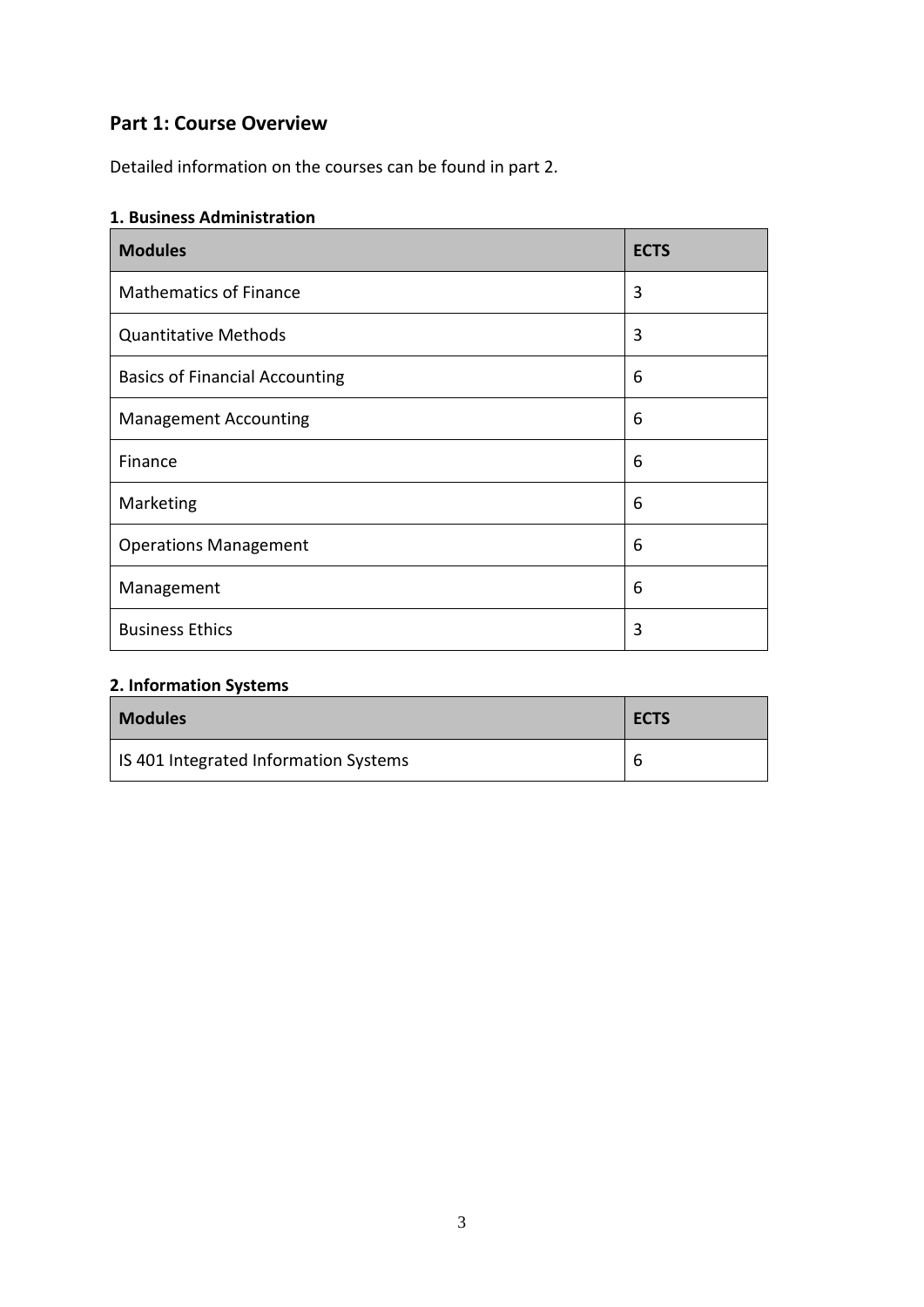## <span id="page-2-0"></span>**Part 1: Course Overview**

Detailed information on the courses can be found in part 2.

#### **1. Business Administration**

| <b>Modules</b>                        | <b>ECTS</b> |
|---------------------------------------|-------------|
| <b>Mathematics of Finance</b>         | 3           |
| <b>Quantitative Methods</b>           | 3           |
| <b>Basics of Financial Accounting</b> | 6           |
| <b>Management Accounting</b>          | 6           |
| Finance                               | 6           |
| Marketing                             | 6           |
| <b>Operations Management</b>          | 6           |
| Management                            | 6           |
| <b>Business Ethics</b>                | 3           |

### **2. Information Systems**

| <b>Modules</b>                        | <b>ECTS</b> |
|---------------------------------------|-------------|
| IS 401 Integrated Information Systems | b           |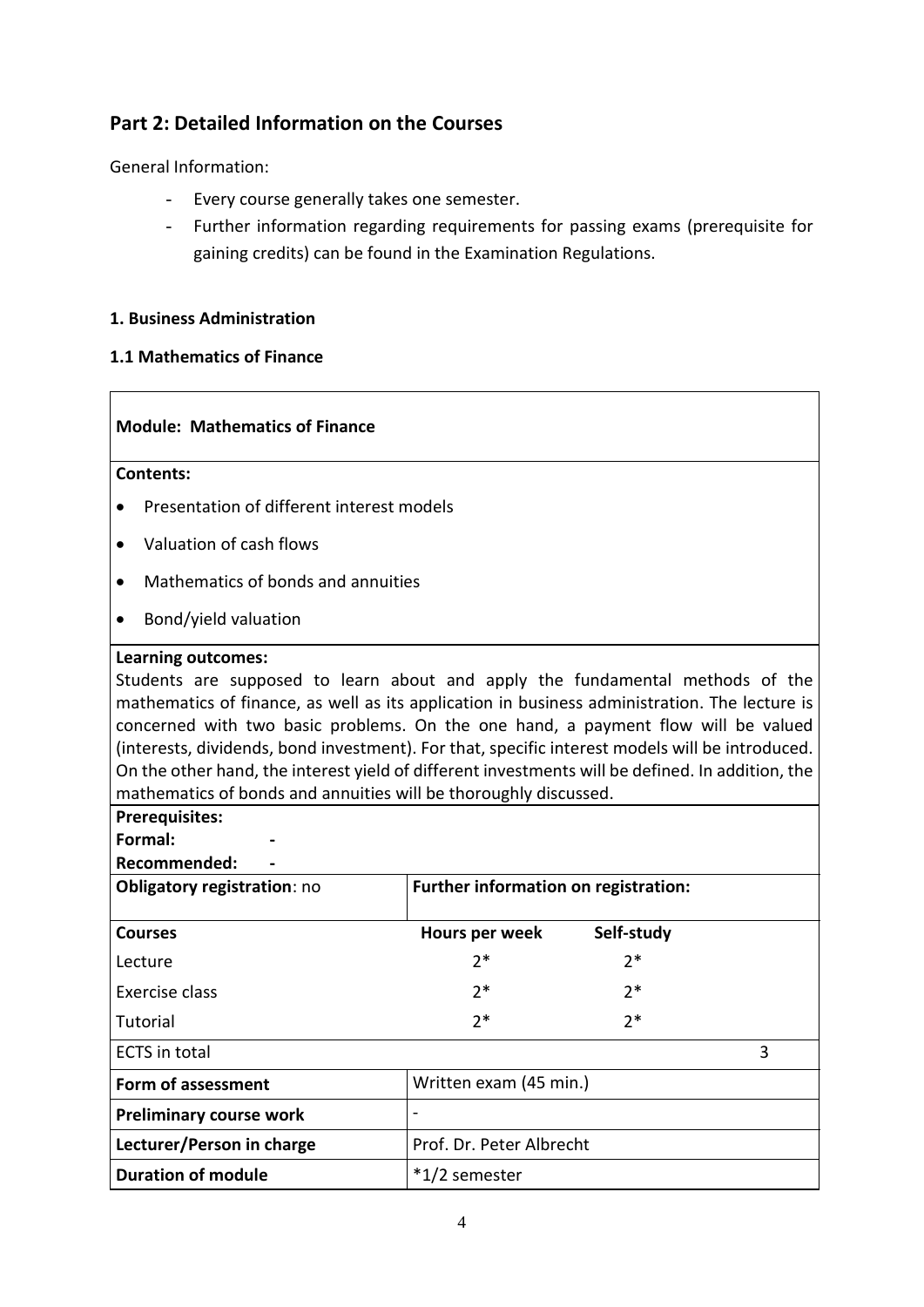## <span id="page-3-0"></span>**Part 2: Detailed Information on the Courses**

General Information:

- Every course generally takes one semester.
- Further information regarding requirements for passing exams (prerequisite for gaining credits) can be found in the Examination Regulations.

#### <span id="page-3-1"></span>**1. Business Administration**

#### <span id="page-3-2"></span>**1.1 Mathematics of Finance**

#### **Module: Mathematics of Finance**

#### **Contents:**

- Presentation of different interest models
- Valuation of cash flows
- Mathematics of bonds and annuities
- Bond/yield valuation

#### **Learning outcomes:**

Students are supposed to learn about and apply the fundamental methods of the mathematics of finance, as well as its application in business administration. The lecture is concerned with two basic problems. On the one hand, a payment flow will be valued (interests, dividends, bond investment). For that, specific interest models will be introduced. On the other hand, the interest yield of different investments will be defined. In addition, the mathematics of bonds and annuities will be thoroughly discussed.

#### **Prerequisites:**

**Formal: -**

**Recommended: -**

| <b>Obligatory registration: no</b> | Further information on registration: |            |   |
|------------------------------------|--------------------------------------|------------|---|
| <b>Courses</b>                     | Hours per week                       | Self-study |   |
| Lecture                            | $2*$                                 | $2*$       |   |
| Exercise class                     | $2*$                                 | $2*$       |   |
| Tutorial                           | $2*$                                 | $2*$       |   |
| <b>ECTS</b> in total               |                                      |            | 3 |
| Form of assessment                 | Written exam (45 min.)               |            |   |
| <b>Preliminary course work</b>     |                                      |            |   |
| Lecturer/Person in charge          | Prof. Dr. Peter Albrecht             |            |   |
| <b>Duration of module</b>          | *1/2 semester                        |            |   |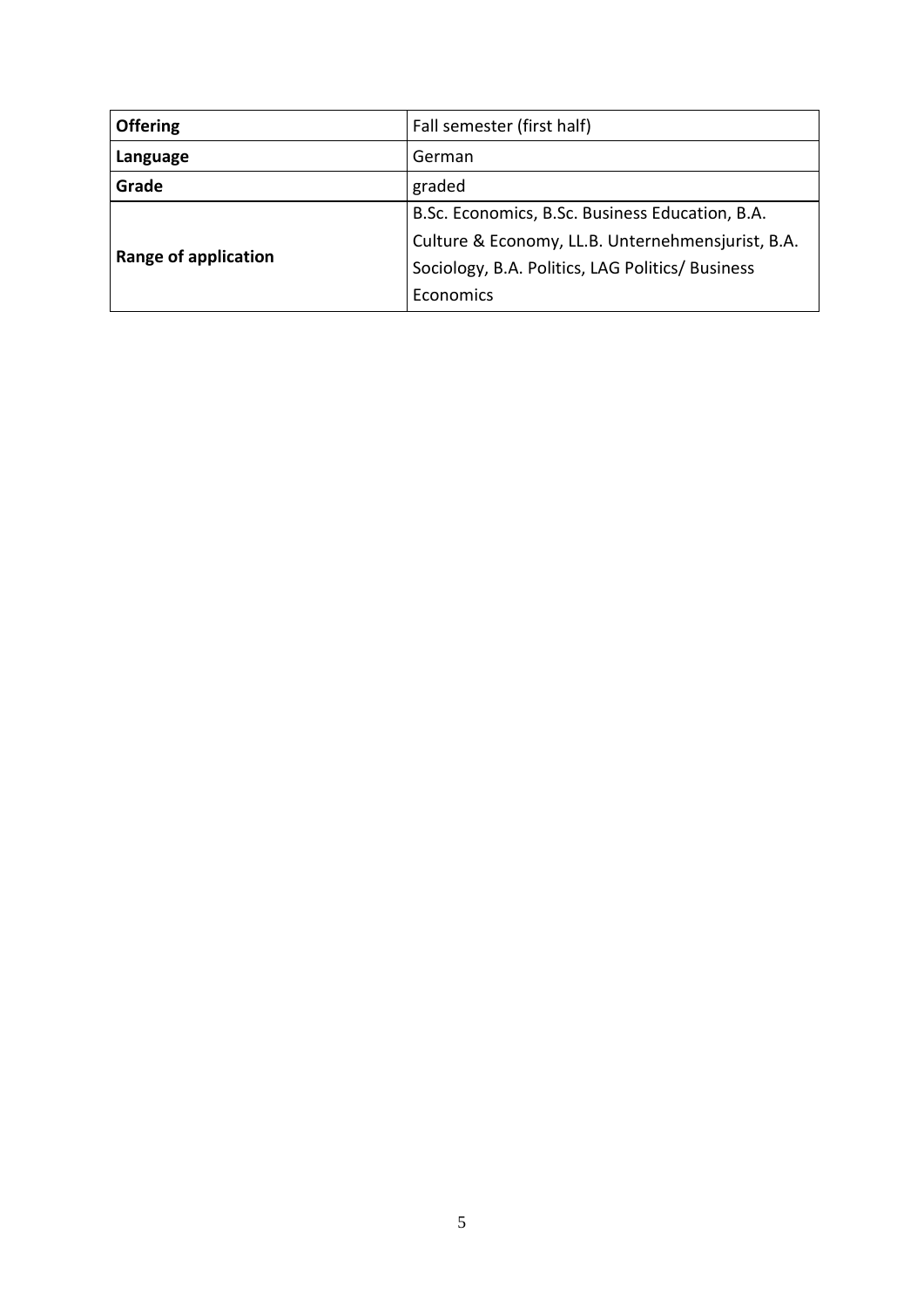| <b>Offering</b>             | Fall semester (first half)                        |  |
|-----------------------------|---------------------------------------------------|--|
| Language                    | German                                            |  |
| Grade                       | graded                                            |  |
| <b>Range of application</b> | B.Sc. Economics, B.Sc. Business Education, B.A.   |  |
|                             | Culture & Economy, LL.B. Unternehmensjurist, B.A. |  |
|                             | Sociology, B.A. Politics, LAG Politics/ Business  |  |
|                             | Economics                                         |  |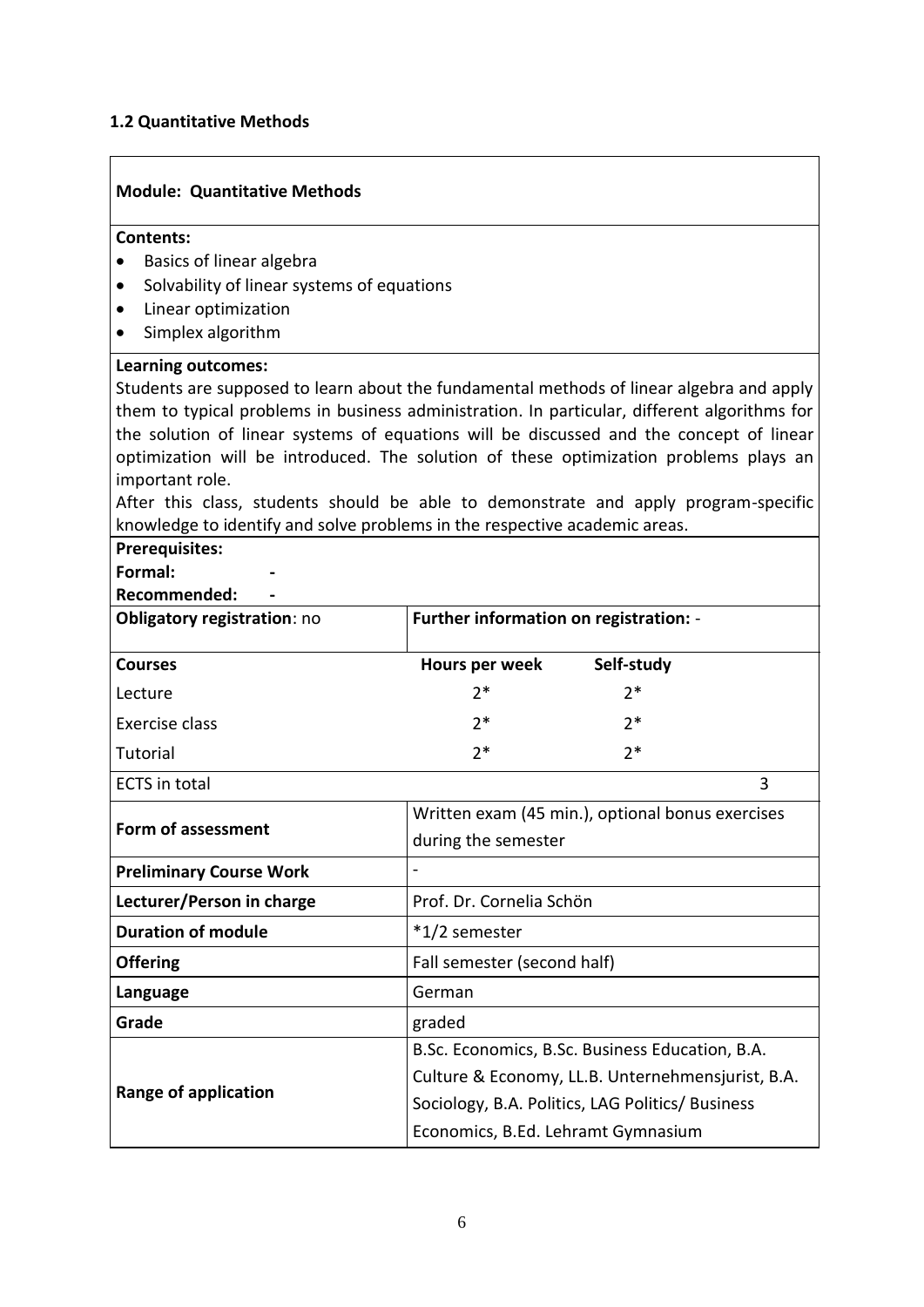#### <span id="page-5-0"></span>**1.2 Quantitative Methods**

#### **Module: Quantitative Methods**

#### **Contents:**

- Basics of linear algebra
- Solvability of linear systems of equations
- Linear optimization
- Simplex algorithm

#### **Learning outcomes:**

Students are supposed to learn about the fundamental methods of linear algebra and apply them to typical problems in business administration. In particular, different algorithms for the solution of linear systems of equations will be discussed and the concept of linear optimization will be introduced. The solution of these optimization problems plays an important role.

After this class, students should be able to demonstrate and apply program-specific knowledge to identify and solve problems in the respective academic areas.

## **Prerequisites:**

**Formal: -**

#### **Recommended: -**

| <b>Obligatory registration: no</b> | Further information on registration: - |            |  |
|------------------------------------|----------------------------------------|------------|--|
| <b>Courses</b>                     | Hours per week                         | Self-study |  |
| Lecture                            | $7*$                                   | 7*         |  |
| Exercise class                     | $7*$                                   | 2*         |  |
| Tutorial                           | $2*$                                   | ን*         |  |
|                                    |                                        |            |  |

**ECTS** in total 3

| Form of assessment             | Written exam (45 min.), optional bonus exercises  |  |
|--------------------------------|---------------------------------------------------|--|
|                                | during the semester                               |  |
| <b>Preliminary Course Work</b> |                                                   |  |
| Lecturer/Person in charge      | Prof. Dr. Cornelia Schön                          |  |
| <b>Duration of module</b>      | *1/2 semester                                     |  |
| <b>Offering</b>                | Fall semester (second half)                       |  |
| Language                       | German                                            |  |
| Grade                          | graded                                            |  |
|                                | B.Sc. Economics, B.Sc. Business Education, B.A.   |  |
| <b>Range of application</b>    | Culture & Economy, LL.B. Unternehmensjurist, B.A. |  |
|                                | Sociology, B.A. Politics, LAG Politics/ Business  |  |
|                                | Economics, B.Ed. Lehramt Gymnasium                |  |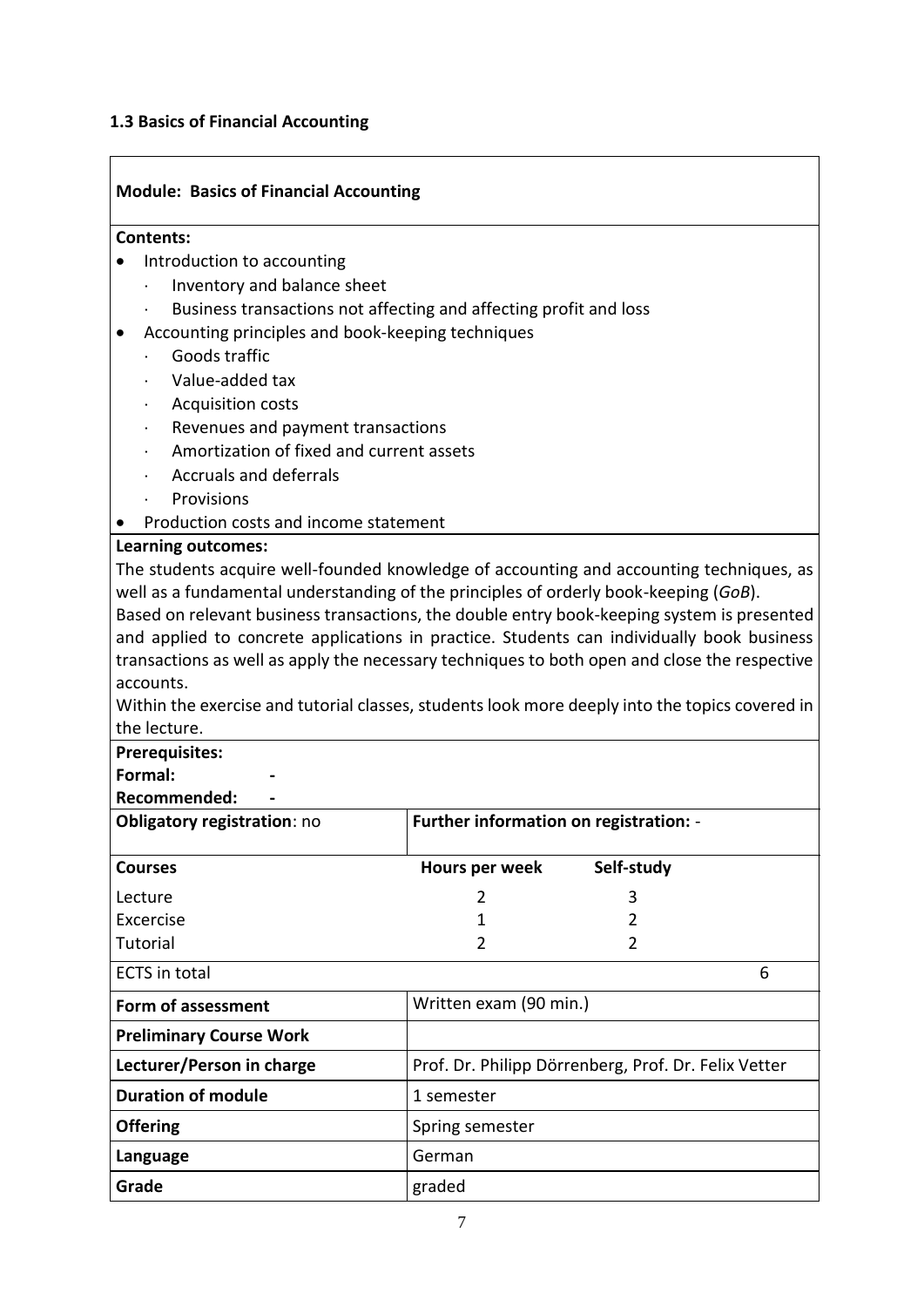#### <span id="page-6-0"></span>**1.3 Basics of Financial Accounting**

### **Module: Basics of Financial Accounting Contents:** • Introduction to accounting Inventory and balance sheet Business transactions not affecting and affecting profit and loss Accounting principles and book-keeping techniques Goods traffic Value-added tax Acquisition costs Revenues and payment transactions Amortization of fixed and current assets Accruals and deferrals Provisions • Production costs and income statement **Learning outcomes:** The students acquire well-founded knowledge of accounting and accounting techniques, as well as a fundamental understanding of the principles of orderly book-keeping (*GoB*). Based on relevant business transactions, the double entry book-keeping system is presented and applied to concrete applications in practice. Students can individually book business transactions as well as apply the necessary techniques to both open and close the respective accounts. Within the exercise and tutorial classes, students look more deeply into the topics covered in the lecture. **Prerequisites: Formal: - Recommended: - Obligatory registration: no <br><b>Further information on registration:** -**Courses Hours per week Self-study** Lecture Excercise 2 1 3 2 Tutorial 2 2 ECTS in total 6 **Form of assessment Written exam (90 min.) Preliminary Course Work Lecturer/Person in charge From Prof. Dr. Philipp Dörrenberg, Prof. Dr. Felix Vetter Duration of module** 1 semester **Offering** Spring semester **Language** German **Grade** graded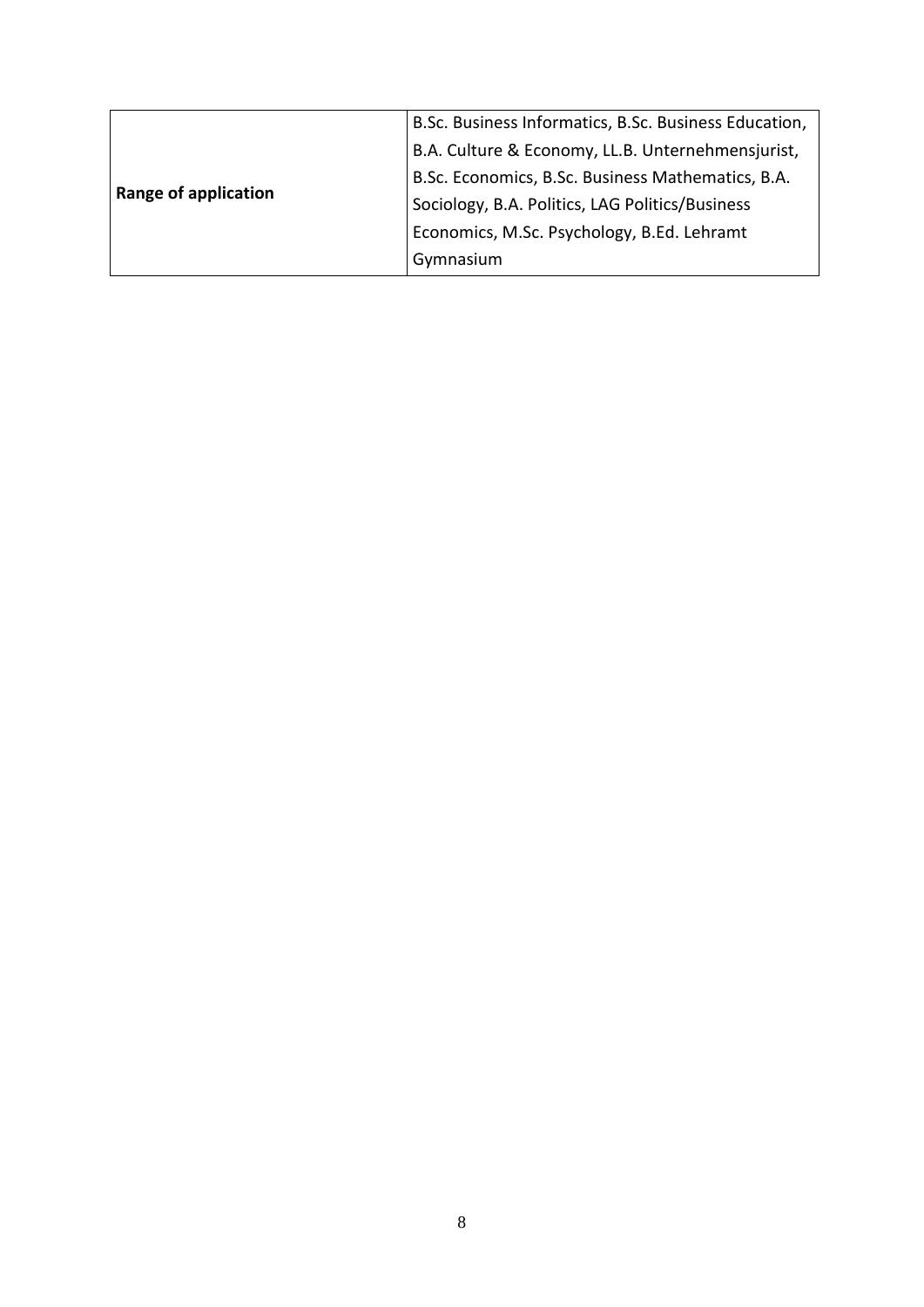|                      | B.Sc. Business Informatics, B.Sc. Business Education, |
|----------------------|-------------------------------------------------------|
|                      | B.A. Culture & Economy, LL.B. Unternehmensjurist,     |
|                      | B.Sc. Economics, B.Sc. Business Mathematics, B.A.     |
| Range of application | Sociology, B.A. Politics, LAG Politics/Business       |
|                      | Economics, M.Sc. Psychology, B.Ed. Lehramt            |
|                      | Gymnasium                                             |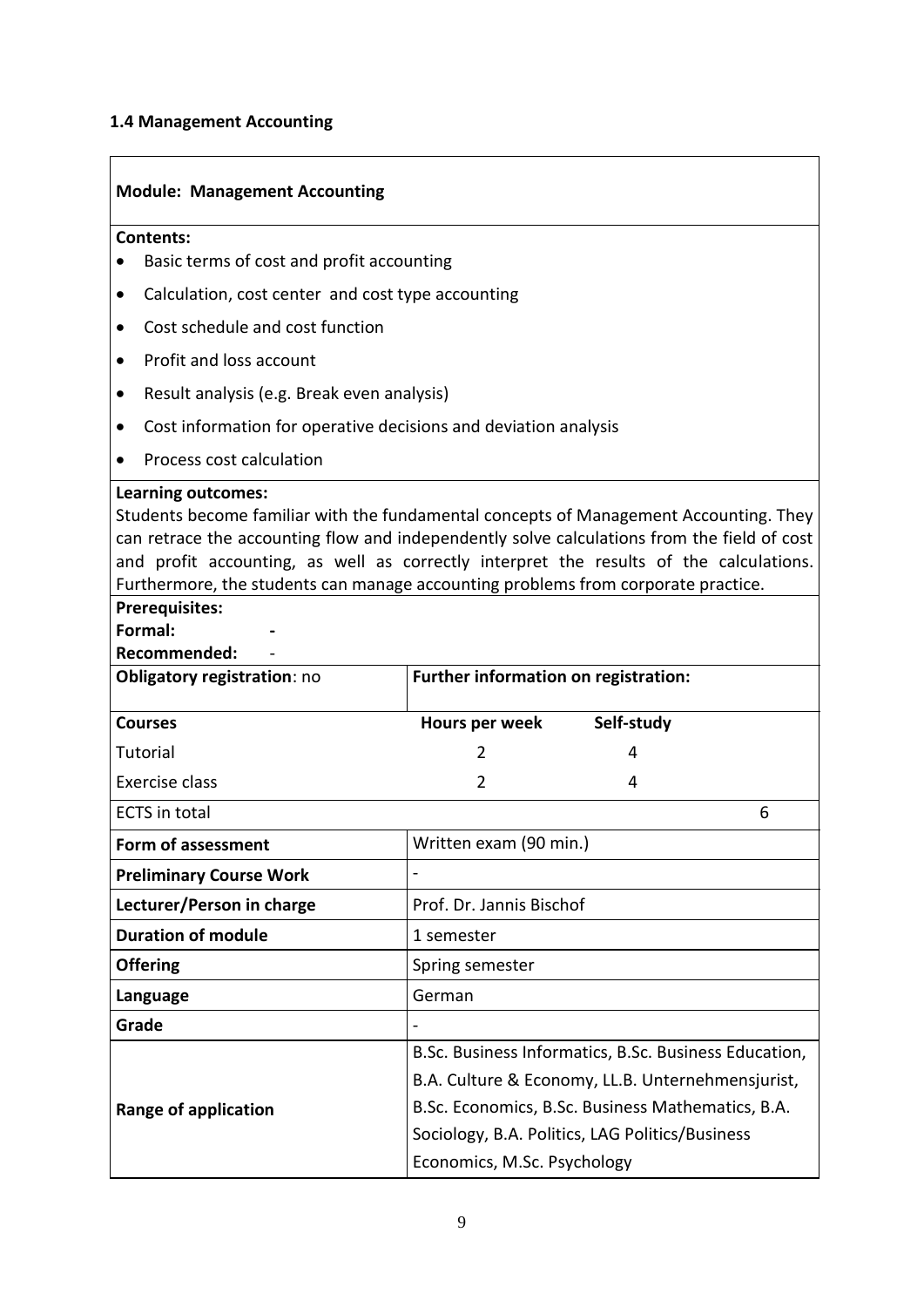### <span id="page-8-0"></span>**1.4 Management Accounting**

 $\mathbf{r}$ 

| <b>Module: Management Accounting</b>                                                                                                                                                                                                                                                                                                                                                                                                                 |                                                                                                      |  |
|------------------------------------------------------------------------------------------------------------------------------------------------------------------------------------------------------------------------------------------------------------------------------------------------------------------------------------------------------------------------------------------------------------------------------------------------------|------------------------------------------------------------------------------------------------------|--|
| Contents:                                                                                                                                                                                                                                                                                                                                                                                                                                            |                                                                                                      |  |
| Basic terms of cost and profit accounting                                                                                                                                                                                                                                                                                                                                                                                                            |                                                                                                      |  |
| Calculation, cost center and cost type accounting                                                                                                                                                                                                                                                                                                                                                                                                    |                                                                                                      |  |
| Cost schedule and cost function                                                                                                                                                                                                                                                                                                                                                                                                                      |                                                                                                      |  |
| Profit and loss account                                                                                                                                                                                                                                                                                                                                                                                                                              |                                                                                                      |  |
| Result analysis (e.g. Break even analysis)<br>٠                                                                                                                                                                                                                                                                                                                                                                                                      |                                                                                                      |  |
| Cost information for operative decisions and deviation analysis<br>٠                                                                                                                                                                                                                                                                                                                                                                                 |                                                                                                      |  |
| Process cost calculation                                                                                                                                                                                                                                                                                                                                                                                                                             |                                                                                                      |  |
| <b>Learning outcomes:</b><br>Students become familiar with the fundamental concepts of Management Accounting. They<br>can retrace the accounting flow and independently solve calculations from the field of cost<br>and profit accounting, as well as correctly interpret the results of the calculations.<br>Furthermore, the students can manage accounting problems from corporate practice.<br><b>Prerequisites:</b><br>Formal:<br>Recommended: |                                                                                                      |  |
| <b>Obligatory registration: no</b>                                                                                                                                                                                                                                                                                                                                                                                                                   | Further information on registration:                                                                 |  |
| <b>Courses</b>                                                                                                                                                                                                                                                                                                                                                                                                                                       | Self-study<br>Hours per week                                                                         |  |
| <b>Tutorial</b>                                                                                                                                                                                                                                                                                                                                                                                                                                      | 2<br>4                                                                                               |  |
| Exercise class                                                                                                                                                                                                                                                                                                                                                                                                                                       | $\overline{2}$<br>4                                                                                  |  |
| <b>ECTS</b> in total                                                                                                                                                                                                                                                                                                                                                                                                                                 | 6                                                                                                    |  |
| Form of assessment                                                                                                                                                                                                                                                                                                                                                                                                                                   | Written exam (90 min.)                                                                               |  |
| <b>Preliminary Course Work</b>                                                                                                                                                                                                                                                                                                                                                                                                                       |                                                                                                      |  |
| Lecturer/Person in charge                                                                                                                                                                                                                                                                                                                                                                                                                            | Prof. Dr. Jannis Bischof                                                                             |  |
| <b>Duration of module</b>                                                                                                                                                                                                                                                                                                                                                                                                                            | 1 semester                                                                                           |  |
| <b>Offering</b>                                                                                                                                                                                                                                                                                                                                                                                                                                      | Spring semester                                                                                      |  |
| Language                                                                                                                                                                                                                                                                                                                                                                                                                                             | German                                                                                               |  |
| Grade                                                                                                                                                                                                                                                                                                                                                                                                                                                |                                                                                                      |  |
|                                                                                                                                                                                                                                                                                                                                                                                                                                                      | B.Sc. Business Informatics, B.Sc. Business Education,                                                |  |
|                                                                                                                                                                                                                                                                                                                                                                                                                                                      | B.A. Culture & Economy, LL.B. Unternehmensjurist,                                                    |  |
| <b>Range of application</b>                                                                                                                                                                                                                                                                                                                                                                                                                          | B.Sc. Economics, B.Sc. Business Mathematics, B.A.<br>Sociology, B.A. Politics, LAG Politics/Business |  |
|                                                                                                                                                                                                                                                                                                                                                                                                                                                      | Economics, M.Sc. Psychology                                                                          |  |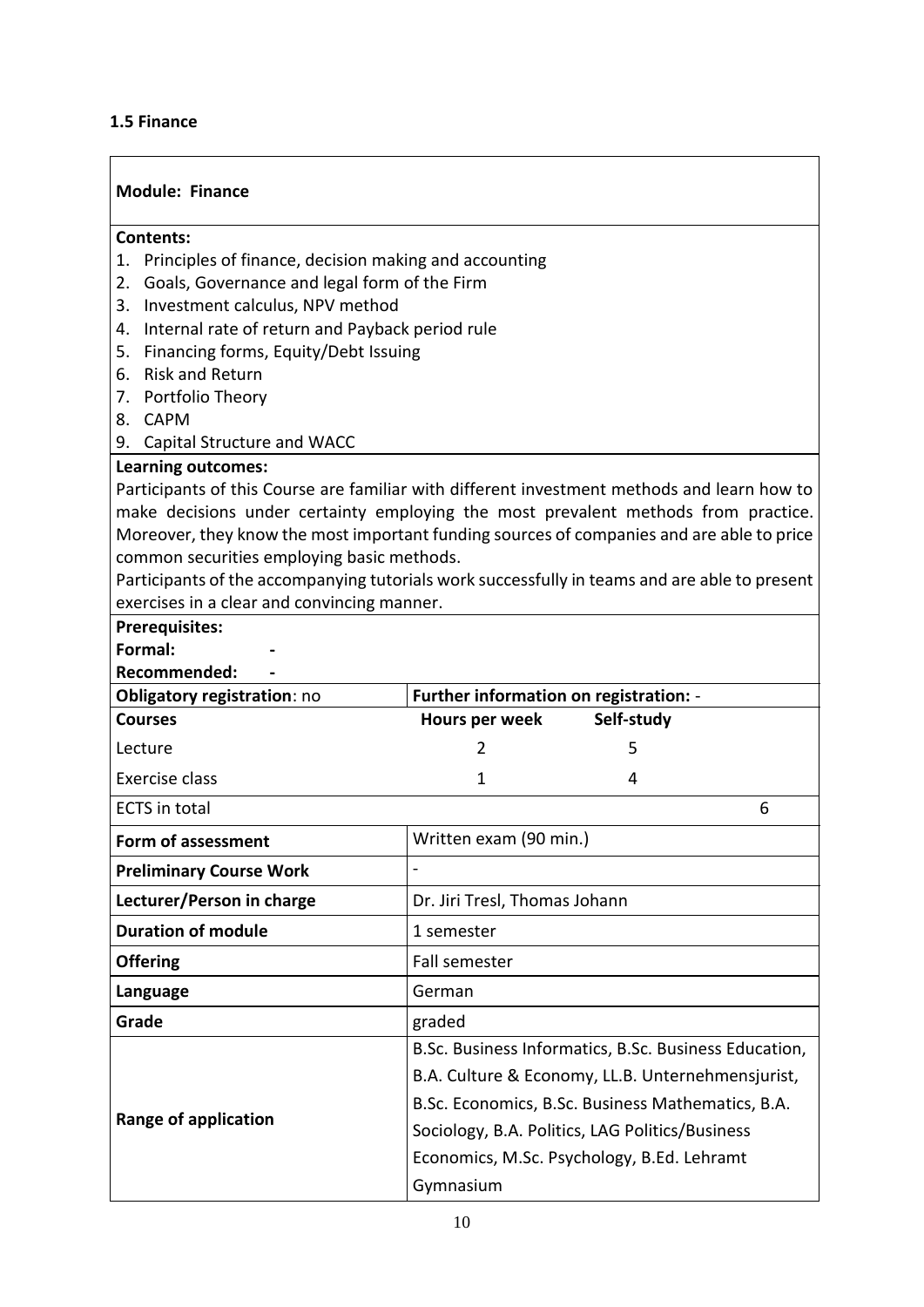#### <span id="page-9-0"></span>**1.5 Finance**

| <b>Module: Finance</b>                                                                        |                                              |                                                       |  |
|-----------------------------------------------------------------------------------------------|----------------------------------------------|-------------------------------------------------------|--|
| <b>Contents:</b>                                                                              |                                              |                                                       |  |
| Principles of finance, decision making and accounting<br>1.                                   |                                              |                                                       |  |
| 2.                                                                                            | Goals, Governance and legal form of the Firm |                                                       |  |
| Investment calculus, NPV method<br>3.                                                         |                                              |                                                       |  |
| Internal rate of return and Payback period rule<br>4.                                         |                                              |                                                       |  |
| Financing forms, Equity/Debt Issuing<br>5.<br><b>Risk and Return</b>                          |                                              |                                                       |  |
| 6.<br>7. Portfolio Theory                                                                     |                                              |                                                       |  |
| 8. CAPM                                                                                       |                                              |                                                       |  |
| 9. Capital Structure and WACC                                                                 |                                              |                                                       |  |
| <b>Learning outcomes:</b>                                                                     |                                              |                                                       |  |
| Participants of this Course are familiar with different investment methods and learn how to   |                                              |                                                       |  |
| make decisions under certainty employing the most prevalent methods from practice.            |                                              |                                                       |  |
| Moreover, they know the most important funding sources of companies and are able to price     |                                              |                                                       |  |
| common securities employing basic methods.                                                    |                                              |                                                       |  |
| Participants of the accompanying tutorials work successfully in teams and are able to present |                                              |                                                       |  |
| exercises in a clear and convincing manner.                                                   |                                              |                                                       |  |
| <b>Prerequisites:</b><br>Formal:                                                              |                                              |                                                       |  |
|                                                                                               |                                              |                                                       |  |
| Recommended:                                                                                  |                                              |                                                       |  |
|                                                                                               |                                              |                                                       |  |
| Obligatory registration: no<br><b>Courses</b>                                                 | Further information on registration: -       |                                                       |  |
|                                                                                               | Hours per week<br>2                          | Self-study<br>5                                       |  |
| Lecture<br>Exercise class                                                                     | 1                                            | 4                                                     |  |
| <b>ECTS</b> in total                                                                          |                                              | 6                                                     |  |
| Form of assessment                                                                            | Written exam (90 min.)                       |                                                       |  |
| <b>Preliminary Course Work</b>                                                                |                                              |                                                       |  |
| Lecturer/Person in charge                                                                     | Dr. Jiri Tresl, Thomas Johann                |                                                       |  |
| <b>Duration of module</b>                                                                     | 1 semester                                   |                                                       |  |
| <b>Offering</b>                                                                               | Fall semester                                |                                                       |  |
| Language                                                                                      | German                                       |                                                       |  |
| Grade                                                                                         | graded                                       |                                                       |  |
|                                                                                               |                                              | B.Sc. Business Informatics, B.Sc. Business Education, |  |
|                                                                                               |                                              | B.A. Culture & Economy, LL.B. Unternehmensjurist,     |  |
|                                                                                               |                                              | B.Sc. Economics, B.Sc. Business Mathematics, B.A.     |  |
| <b>Range of application</b>                                                                   |                                              | Sociology, B.A. Politics, LAG Politics/Business       |  |
|                                                                                               |                                              | Economics, M.Sc. Psychology, B.Ed. Lehramt            |  |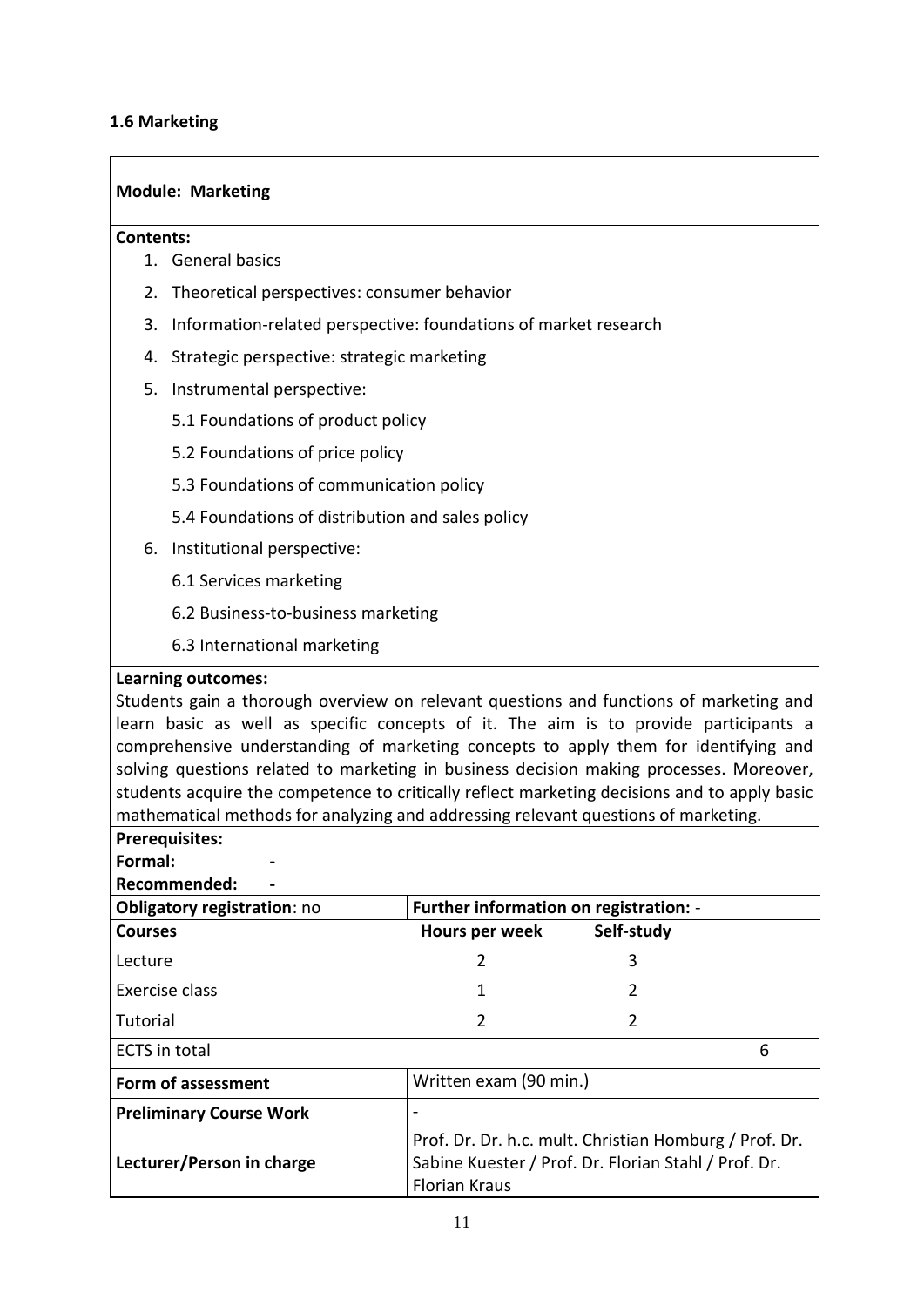#### <span id="page-10-0"></span>**1.6 Marketing**

#### **Module: Marketing**

#### **Contents:**

- 1. General basics
- 2. Theoretical perspectives: consumer behavior
- 3. Information-related perspective: foundations of market research
- 4. Strategic perspective: strategic marketing
- 5. Instrumental perspective:
	- 5.1 Foundations of product policy
	- 5.2 Foundations of price policy
	- 5.3 Foundations of communication policy
	- 5.4 Foundations of distribution and sales policy
- 6. Institutional perspective:
	- 6.1 Services marketing
	- 6.2 Business-to-business marketing
	- 6.3 International marketing

#### **Learning outcomes:**

Students gain a thorough overview on relevant questions and functions of marketing and learn basic as well as specific concepts of it. The aim is to provide participants a comprehensive understanding of marketing concepts to apply them for identifying and solving questions related to marketing in business decision making processes. Moreover, students acquire the competence to critically reflect marketing decisions and to apply basic mathematical methods for analyzing and addressing relevant questions of marketing.

## **Prerequisites:**

**Formal: - Recommended: -**

| <b>Obligatory registration: no</b> | Further information on registration: -                                                                                                 |            |   |
|------------------------------------|----------------------------------------------------------------------------------------------------------------------------------------|------------|---|
| <b>Courses</b>                     | Hours per week                                                                                                                         | Self-study |   |
| Lecture                            | 2                                                                                                                                      | 3          |   |
| Exercise class                     |                                                                                                                                        |            |   |
| Tutorial                           | 2                                                                                                                                      |            |   |
| <b>ECTS</b> in total               |                                                                                                                                        |            | 6 |
| Form of assessment                 | Written exam (90 min.)                                                                                                                 |            |   |
| <b>Preliminary Course Work</b>     |                                                                                                                                        |            |   |
| Lecturer/Person in charge          | Prof. Dr. Dr. h.c. mult. Christian Homburg / Prof. Dr.<br>Sabine Kuester / Prof. Dr. Florian Stahl / Prof. Dr.<br><b>Florian Kraus</b> |            |   |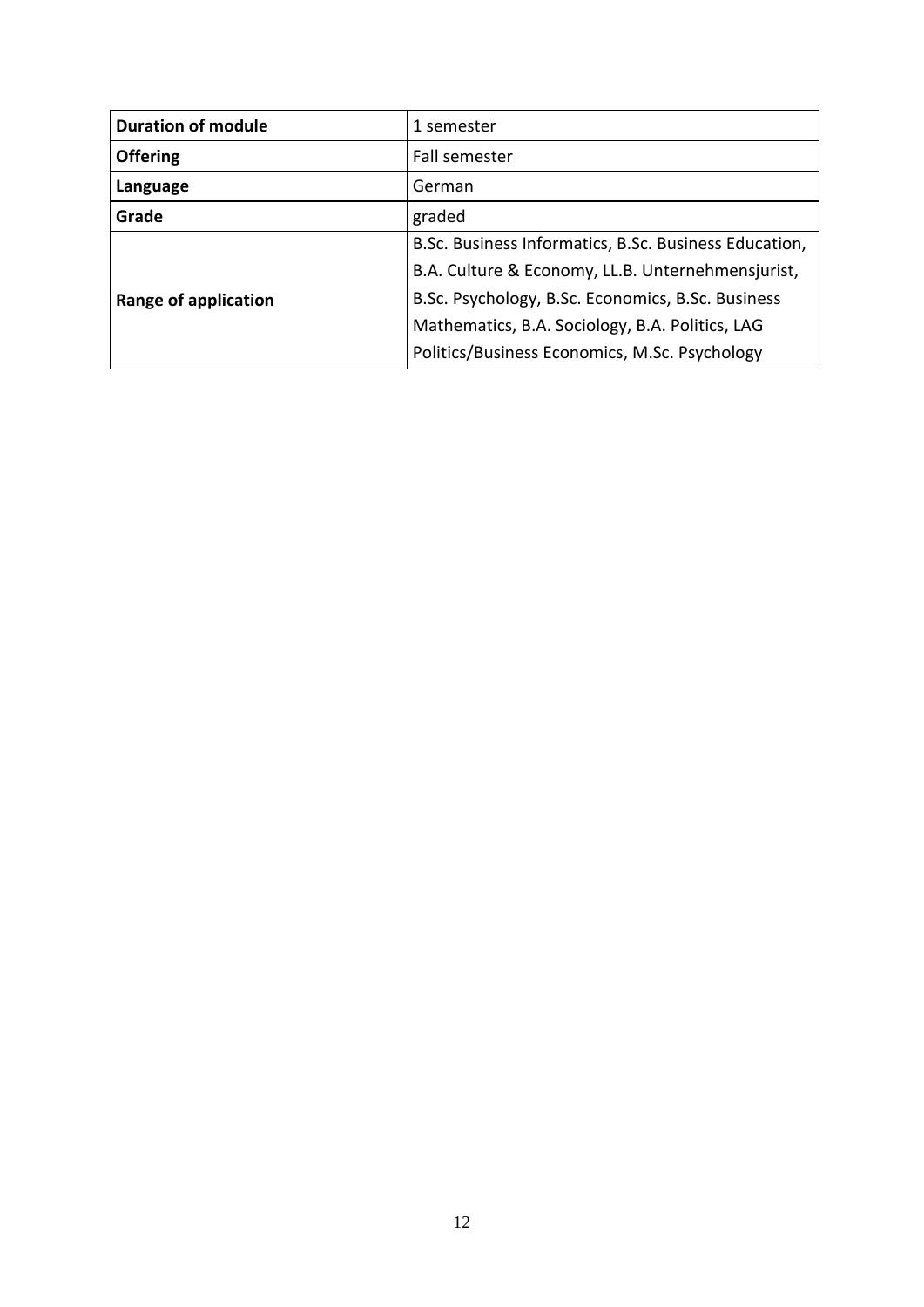| <b>Duration of module</b> | 1 semester                                            |
|---------------------------|-------------------------------------------------------|
| <b>Offering</b>           | Fall semester                                         |
| Language                  | German                                                |
| Grade                     | graded                                                |
| Range of application      | B.Sc. Business Informatics, B.Sc. Business Education, |
|                           | B.A. Culture & Economy, LL.B. Unternehmensjurist,     |
|                           | B.Sc. Psychology, B.Sc. Economics, B.Sc. Business     |
|                           | Mathematics, B.A. Sociology, B.A. Politics, LAG       |
|                           | Politics/Business Economics, M.Sc. Psychology         |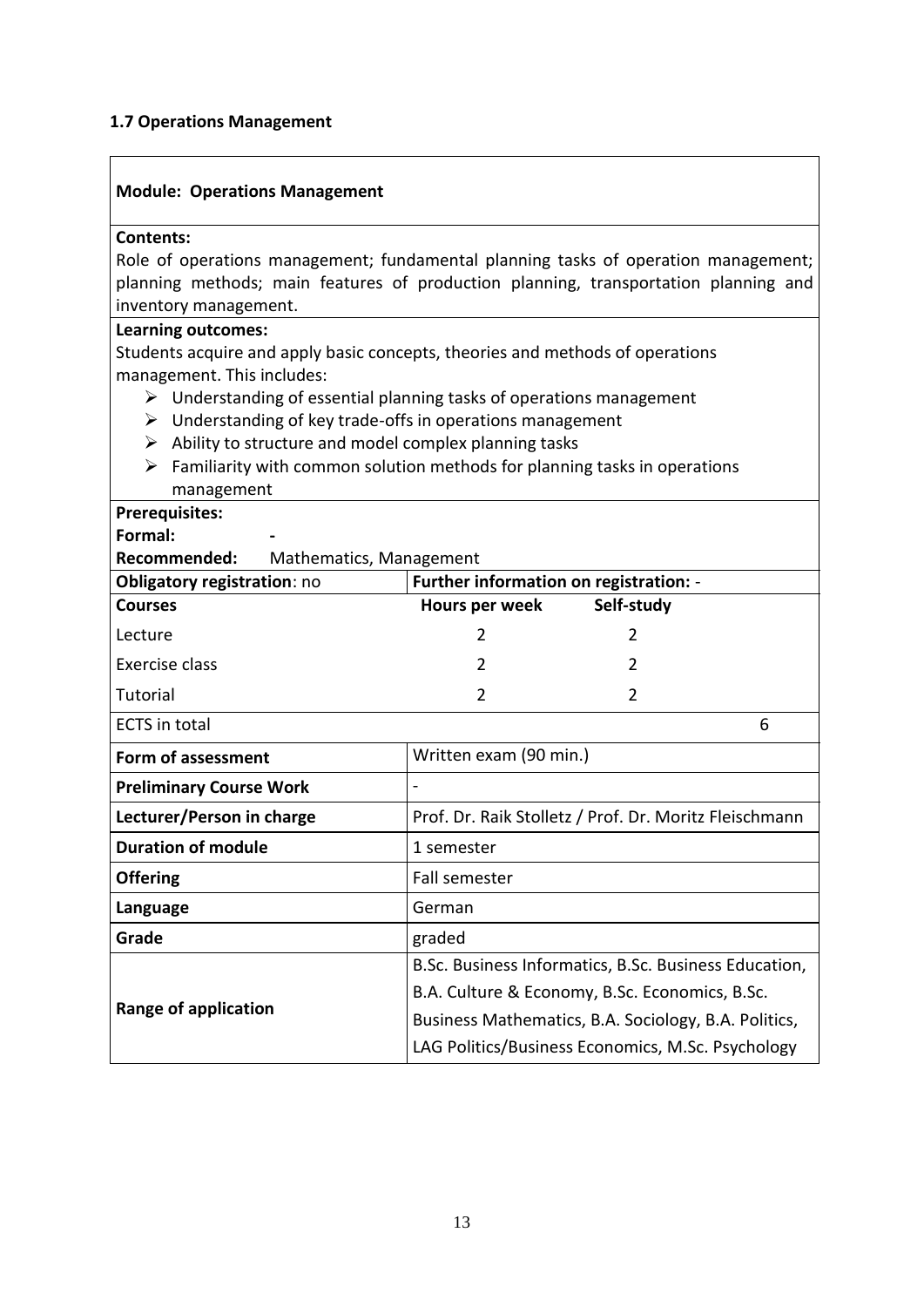#### <span id="page-12-0"></span>**1.7 Operations Management**

#### **Module: Operations Management**

#### **Contents:**

Role of operations management; fundamental planning tasks of operation management; planning methods; main features of production planning, transportation planning and inventory management.

#### **Learning outcomes:**

Students acquire and apply basic concepts, theories and methods of operations management. This includes:

- $\triangleright$  Understanding of essential planning tasks of operations management
- $\triangleright$  Understanding of key trade-offs in operations management
- $\triangleright$  Ability to structure and model complex planning tasks
- $\triangleright$  Familiarity with common solution methods for planning tasks in operations management

| Mathematics, Management                                                      |                                                        |  |
|------------------------------------------------------------------------------|--------------------------------------------------------|--|
| Further information on registration: -<br><b>Obligatory registration: no</b> |                                                        |  |
| Hours per week                                                               | Self-study                                             |  |
| 2                                                                            | 2                                                      |  |
| 2                                                                            | 2                                                      |  |
| $\overline{2}$                                                               | $\mathfrak{p}$                                         |  |
|                                                                              | 6                                                      |  |
| Written exam (90 min.)                                                       |                                                        |  |
|                                                                              |                                                        |  |
|                                                                              | Prof. Dr. Raik Stolletz / Prof. Dr. Moritz Fleischmann |  |
| 1 semester                                                                   |                                                        |  |
| <b>Fall semester</b>                                                         |                                                        |  |
| German                                                                       |                                                        |  |
| graded                                                                       |                                                        |  |
|                                                                              | B.Sc. Business Informatics, B.Sc. Business Education,  |  |
| B.A. Culture & Economy, B.Sc. Economics, B.Sc.                               |                                                        |  |
| Business Mathematics, B.A. Sociology, B.A. Politics,                         |                                                        |  |
|                                                                              | LAG Politics/Business Economics, M.Sc. Psychology      |  |
|                                                                              |                                                        |  |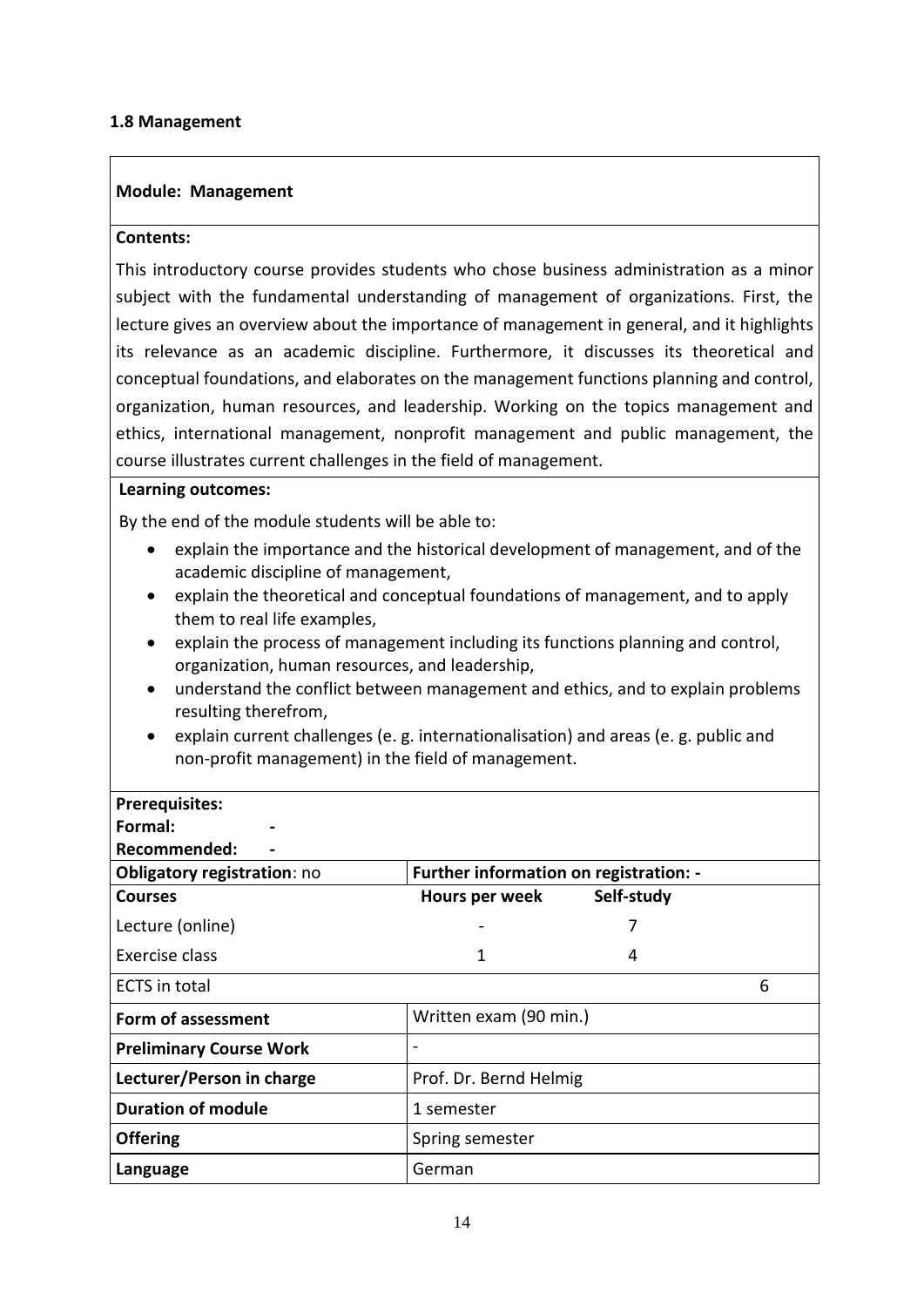#### <span id="page-13-0"></span>**1.8 Management**

#### **Module: Management**

#### **Contents:**

This introductory course provides students who chose business administration as a minor subject with the fundamental understanding of management of organizations. First, the lecture gives an overview about the importance of management in general, and it highlights its relevance as an academic discipline. Furthermore, it discusses its theoretical and conceptual foundations, and elaborates on the management functions planning and control, organization, human resources, and leadership. Working on the topics management and ethics, international management, nonprofit management and public management, the course illustrates current challenges in the field of management.

#### **Learning outcomes:**

By the end of the module students will be able to:

- explain the importance and the historical development of management, and of the academic discipline of management,
- explain the theoretical and conceptual foundations of management, and to apply them to real life examples,
- explain the process of management including its functions planning and control, organization, human resources, and leadership,
- understand the conflict between management and ethics, and to explain problems resulting therefrom,
- explain current challenges (e. g. internationalisation) and areas (e. g. public and non-profit management) in the field of management.

| <b>Prerequisites:</b>          |                                        |            |   |
|--------------------------------|----------------------------------------|------------|---|
| Formal:                        |                                        |            |   |
| Recommended:                   |                                        |            |   |
| Obligatory registration: no    | Further information on registration: - |            |   |
| <b>Courses</b>                 | Hours per week                         | Self-study |   |
| Lecture (online)               |                                        |            |   |
| Exercise class                 | 1                                      | 4          |   |
| <b>ECTS</b> in total           |                                        |            | 6 |
| Form of assessment             | Written exam (90 min.)                 |            |   |
| <b>Preliminary Course Work</b> |                                        |            |   |
| Lecturer/Person in charge      | Prof. Dr. Bernd Helmig                 |            |   |
| <b>Duration of module</b>      | 1 semester                             |            |   |
| <b>Offering</b>                | Spring semester                        |            |   |
| Language                       | German                                 |            |   |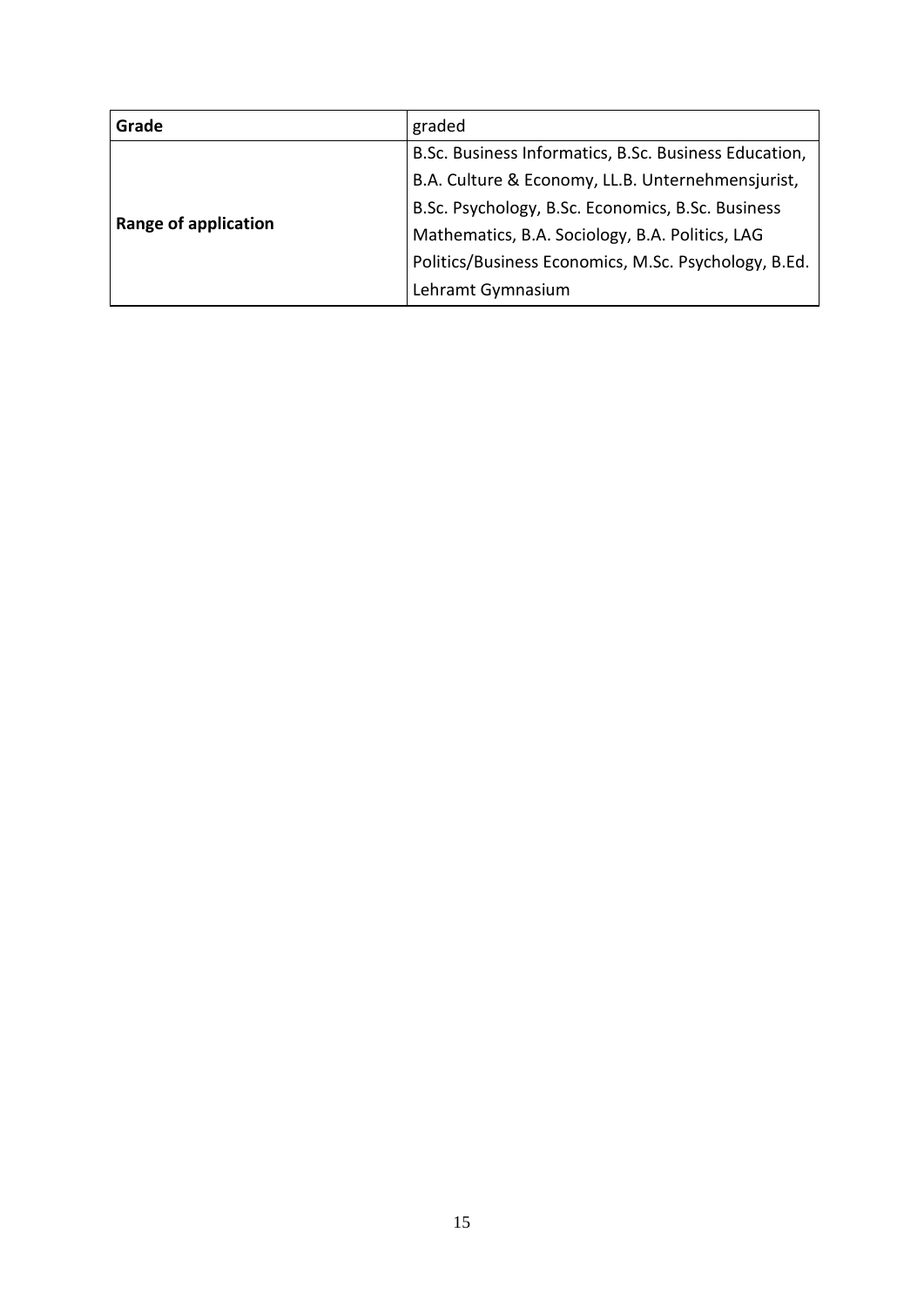| Grade                       | graded                                                |
|-----------------------------|-------------------------------------------------------|
| <b>Range of application</b> | B.Sc. Business Informatics, B.Sc. Business Education, |
|                             | B.A. Culture & Economy, LL.B. Unternehmensjurist,     |
|                             | B.Sc. Psychology, B.Sc. Economics, B.Sc. Business     |
|                             | Mathematics, B.A. Sociology, B.A. Politics, LAG       |
|                             | Politics/Business Economics, M.Sc. Psychology, B.Ed.  |
|                             | Lehramt Gymnasium                                     |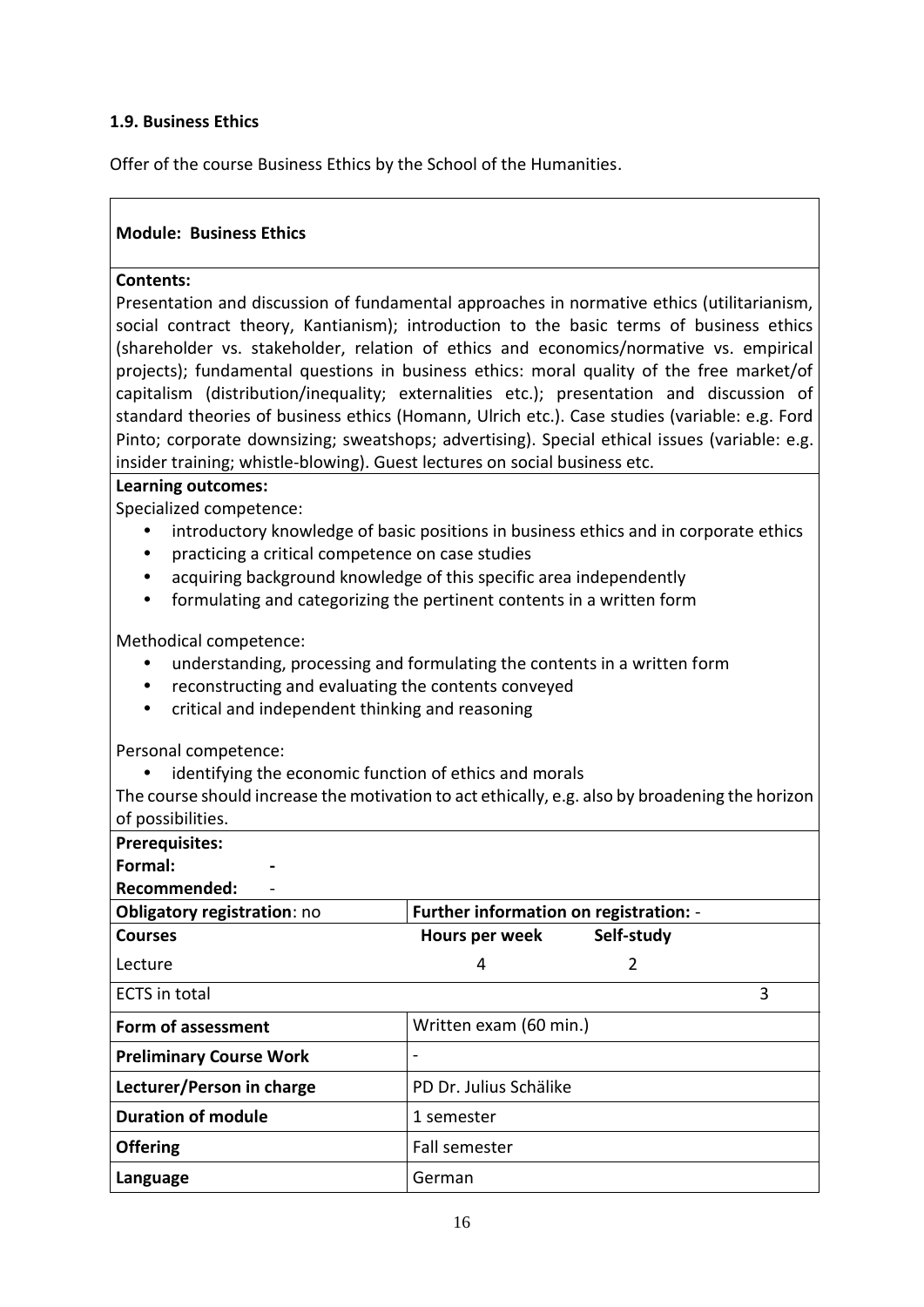#### <span id="page-15-0"></span>**1.9. Business Ethics**

Offer of the course Business Ethics by the School of the Humanities.

#### **Module: Business Ethics**

#### **Contents:**

Presentation and discussion of fundamental approaches in normative ethics (utilitarianism, social contract theory, Kantianism); introduction to the basic terms of business ethics (shareholder vs. stakeholder, relation of ethics and economics/normative vs. empirical projects); fundamental questions in business ethics: moral quality of the free market/of capitalism (distribution/inequality; externalities etc.); presentation and discussion of standard theories of business ethics (Homann, Ulrich etc.). Case studies (variable: e.g. Ford Pinto; corporate downsizing; sweatshops; advertising). Special ethical issues (variable: e.g. insider training; whistle-blowing). Guest lectures on social business etc.

#### **Learning outcomes:**

Specialized competence:

- **•** introductory knowledge of basic positions in business ethics and in corporate ethics
- **•** practicing a critical competence on case studies
- **•** acquiring background knowledge of this specific area independently
- **•** formulating and categorizing the pertinent contents in a written form

Methodical competence:

- **•** understanding, processing and formulating the contents in a written form
- **•** reconstructing and evaluating the contents conveyed
- **•** critical and independent thinking and reasoning

Personal competence:

**•** identifying the economic function of ethics and morals

The course should increase the motivation to act ethically, e.g. also by broadening the horizon of possibilities.

| u pussibilititus.                  |                                        |            |   |
|------------------------------------|----------------------------------------|------------|---|
| <b>Prerequisites:</b>              |                                        |            |   |
| Formal:                            |                                        |            |   |
| Recommended:                       |                                        |            |   |
| <b>Obligatory registration: no</b> | Further information on registration: - |            |   |
| <b>Courses</b>                     | Hours per week                         | Self-study |   |
| Lecture                            | 4                                      | 2          |   |
| <b>ECTS</b> in total               |                                        |            | 3 |
| Form of assessment                 | Written exam (60 min.)                 |            |   |
| <b>Preliminary Course Work</b>     |                                        |            |   |
| Lecturer/Person in charge          | PD Dr. Julius Schälike                 |            |   |
| <b>Duration of module</b>          | 1 semester                             |            |   |
| <b>Offering</b>                    | Fall semester                          |            |   |
| Language                           | German                                 |            |   |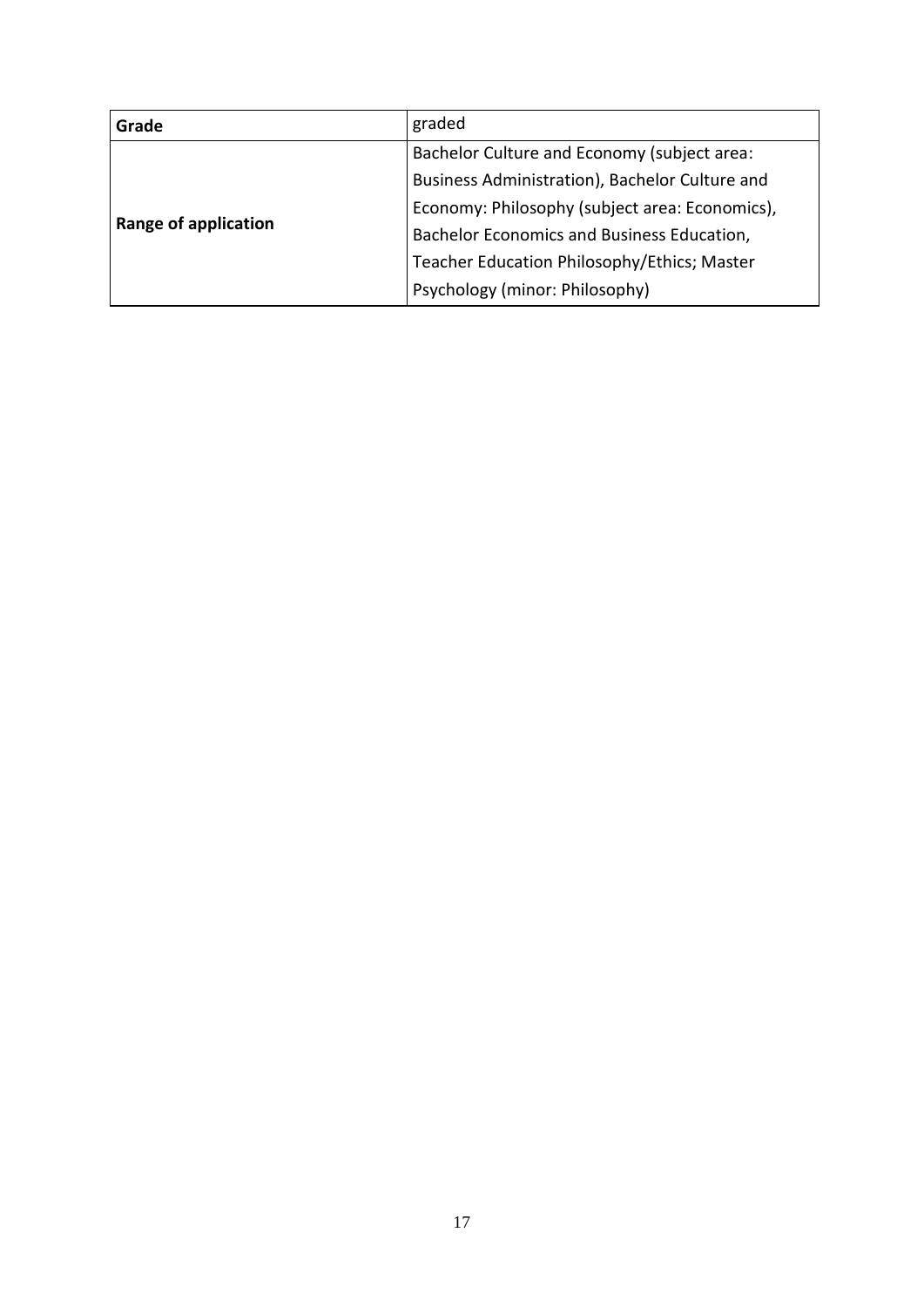| Grade                       | graded                                         |
|-----------------------------|------------------------------------------------|
| <b>Range of application</b> | Bachelor Culture and Economy (subject area:    |
|                             | Business Administration), Bachelor Culture and |
|                             | Economy: Philosophy (subject area: Economics), |
|                             | Bachelor Economics and Business Education,     |
|                             | Teacher Education Philosophy/Ethics; Master    |
|                             | Psychology (minor: Philosophy)                 |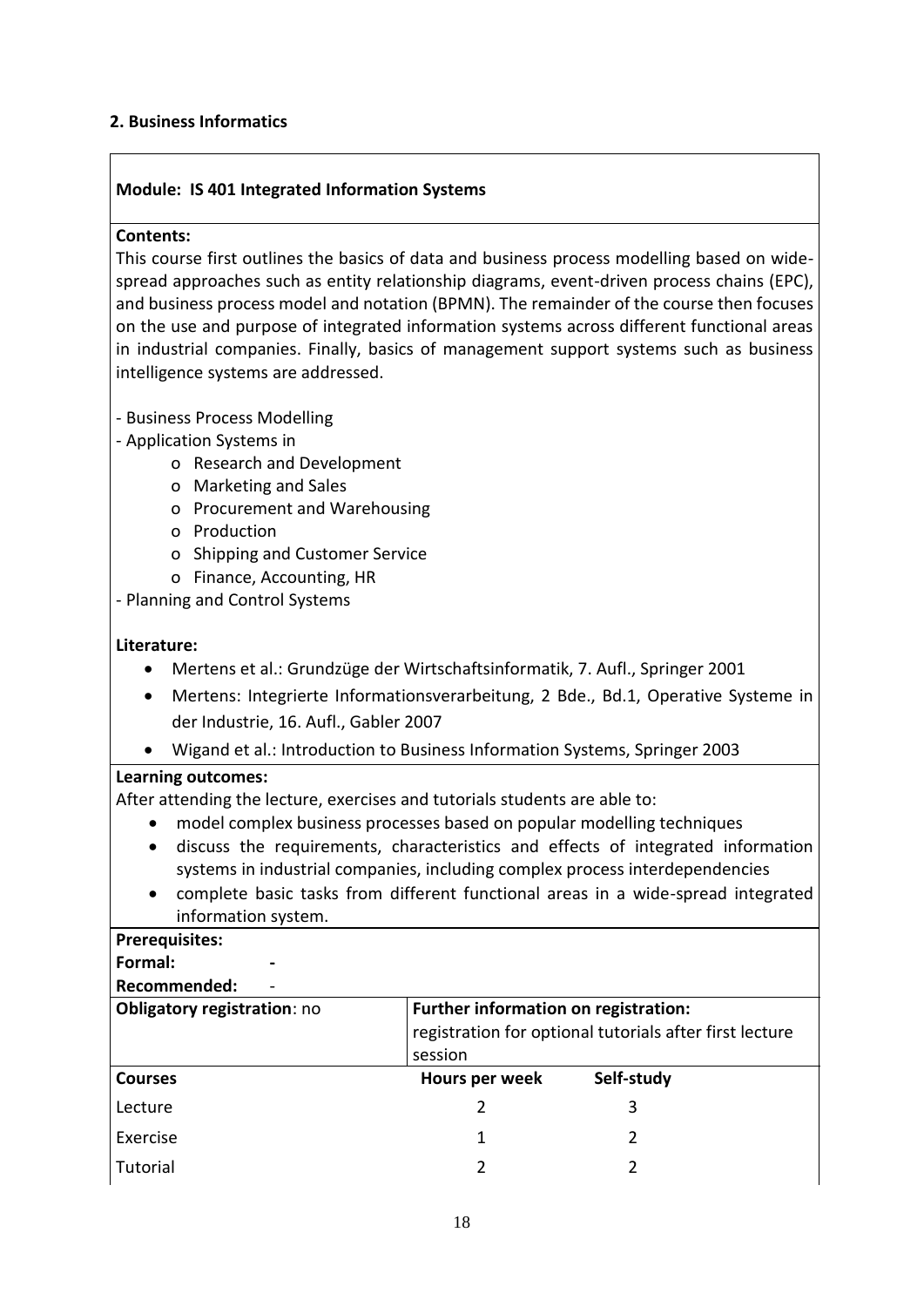#### <span id="page-17-0"></span>**2. Business Informatics**

#### **Module: IS 401 Integrated Information Systems**

#### **Contents:**

This course first outlines the basics of data and business process modelling based on widespread approaches such as entity relationship diagrams, event-driven process chains (EPC), and business process model and notation (BPMN). The remainder of the course then focuses on the use and purpose of integrated information systems across different functional areas in industrial companies. Finally, basics of management support systems such as business intelligence systems are addressed.

- Business Process Modelling
- Application Systems in
	- o Research and Development
	- o Marketing and Sales
	- o Procurement and Warehousing
	- o Production
	- o Shipping and Customer Service
	- o Finance, Accounting, HR
- Planning and Control Systems

#### **Literature:**

- Mertens et al.: Grundzüge der Wirtschaftsinformatik, 7. Aufl., Springer 2001
- Mertens: Integrierte Informationsverarbeitung, 2 Bde., Bd.1, Operative Systeme in der Industrie, 16. Aufl., Gabler 2007
- Wigand et al.: Introduction to Business Information Systems, Springer 2003

#### **Learning outcomes:**

After attending the lecture, exercises and tutorials students are able to:

- model complex business processes based on popular modelling techniques
- discuss the requirements, characteristics and effects of integrated information systems in industrial companies, including complex process interdependencies
- complete basic tasks from different functional areas in a wide-spread integrated information system.

#### **Prerequisites:**

#### **Formal: -**

| Obligatory registration: no | session        | Further information on registration:<br>registration for optional tutorials after first lecture |  |
|-----------------------------|----------------|-------------------------------------------------------------------------------------------------|--|
| <b>Courses</b>              | Hours per week | Self-study                                                                                      |  |
| Lecture                     |                |                                                                                                 |  |
| Exercise                    |                |                                                                                                 |  |
| Tutorial                    |                |                                                                                                 |  |